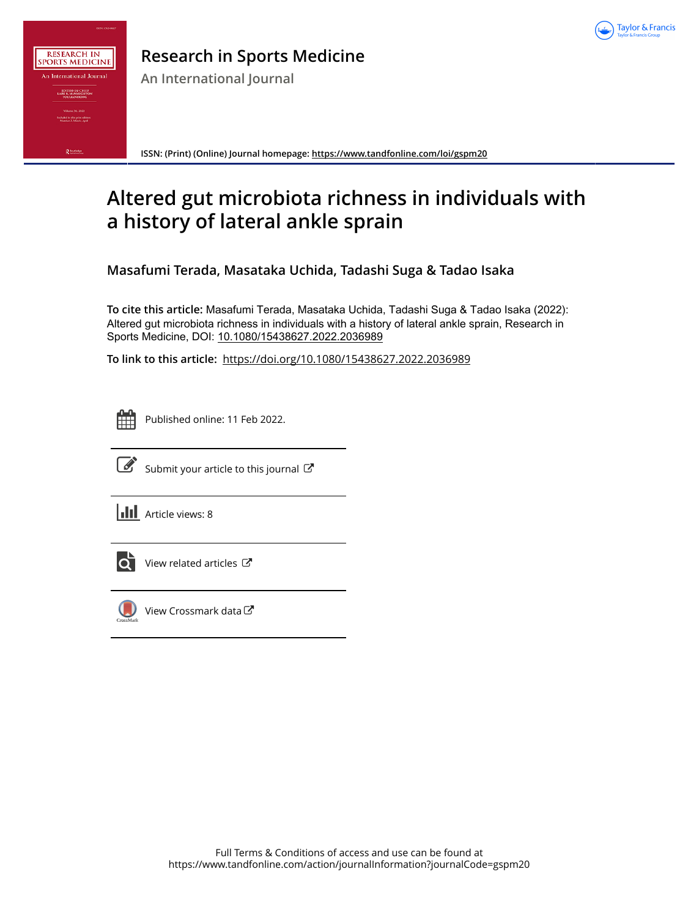



# **Research in Sports Medicine**

**An International Journal**

**ISSN: (Print) (Online) Journal homepage:<https://www.tandfonline.com/loi/gspm20>**

# **Altered gut microbiota richness in individuals with a history of lateral ankle sprain**

**Masafumi Terada, Masataka Uchida, Tadashi Suga & Tadao Isaka**

**To cite this article:** Masafumi Terada, Masataka Uchida, Tadashi Suga & Tadao Isaka (2022): Altered gut microbiota richness in individuals with a history of lateral ankle sprain, Research in Sports Medicine, DOI: [10.1080/15438627.2022.2036989](https://www.tandfonline.com/action/showCitFormats?doi=10.1080/15438627.2022.2036989)

**To link to this article:** <https://doi.org/10.1080/15438627.2022.2036989>



Published online: 11 Feb 2022.



 $\overrightarrow{S}$  [Submit your article to this journal](https://www.tandfonline.com/action/authorSubmission?journalCode=gspm20&show=instructions)  $\overrightarrow{S}$ 

**III** Article views: 8



[View related articles](https://www.tandfonline.com/doi/mlt/10.1080/15438627.2022.2036989) C



[View Crossmark data](http://crossmark.crossref.org/dialog/?doi=10.1080/15438627.2022.2036989&domain=pdf&date_stamp=2022-02-11) $\bm{\mathcal{C}}$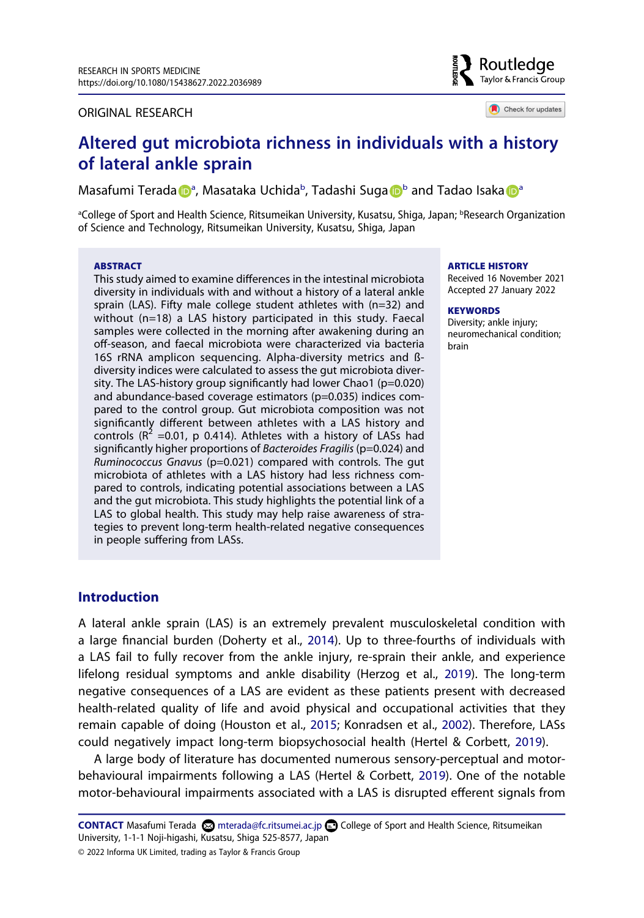#### ORIGINAL RESEARCH



Check for updates

# **Altered gut microbiota richness in individuals with a history of lateral ankle sprain**

M[a](#page-1-0)safumi Terada D<sup>a</sup>, Masataka Uchida<sup>[b](#page-1-0)</sup>, Tadashi Suga D<sup>b</sup> and Tadao Isaka D<sup>a</sup>

<span id="page-1-0"></span>ªCollege of Sport and Health Science, Ritsumeikan University, Kusatsu, Shiga, Japan; <sup>b</sup>Research Organization of Science and Technology, Ritsumeikan University, Kusatsu, Shiga, Japan

#### **ABSTRACT**

This study aimed to examine differences in the intestinal microbiota diversity in individuals with and without a history of a lateral ankle sprain (LAS). Fifty male college student athletes with (n=32) and without (n=18) a LAS history participated in this study. Faecal samples were collected in the morning after awakening during an off-season, and faecal microbiota were characterized via bacteria 16S rRNA amplicon sequencing. Alpha-diversity metrics and ßdiversity indices were calculated to assess the gut microbiota diversity. The LAS-history group significantly had lower Chao1 (p=0.020) and abundance-based coverage estimators (p=0.035) indices compared to the control group. Gut microbiota composition was not significantly different between athletes with a LAS history and controls ( $R^2$  =0.01, p 0.414). Athletes with a history of LASs had significantly higher proportions of *Bacteroides Fragilis* (p=0.024) and *Ruminococcus Gnavus* (p=0.021) compared with controls. The gut microbiota of athletes with a LAS history had less richness compared to controls, indicating potential associations between a LAS and the gut microbiota. This study highlights the potential link of a LAS to global health. This study may help raise awareness of strategies to prevent long-term health-related negative consequences in people suffering from LASs.

#### **ARTICLE HISTORY**

Received 16 November 2021 Accepted 27 January 2022

#### **KEYWORDS**

Diversity; ankle injury; neuromechanical condition; brain

# **Introduction**

<span id="page-1-3"></span><span id="page-1-1"></span>A lateral ankle sprain (LAS) is an extremely prevalent musculoskeletal condition with a large financial burden (Doherty et al., [2014](#page-12-0)). Up to three-fourths of individuals with a LAS fail to fully recover from the ankle injury, re-sprain their ankle, and experience lifelong residual symptoms and ankle disability (Herzog et al., [2019](#page-13-0)). The long-term negative consequences of a LAS are evident as these patients present with decreased health-related quality of life and avoid physical and occupational activities that they remain capable of doing (Houston et al., [2015](#page-13-1); Konradsen et al., [2002](#page-14-0)). Therefore, LASs could negatively impact long-term biopsychosocial health (Hertel & Corbett, [2019](#page-13-2)).

<span id="page-1-4"></span><span id="page-1-2"></span>A large body of literature has documented numerous sensory-perceptual and motorbehavioural impairments following a LAS (Hertel & Corbett, [2019](#page-13-2)). One of the notable motor-behavioural impairments associated with a LAS is disrupted efferent signals from

**CONTACT** Masafumi Terada mterada@fc.ritsumei.ac.jp College of Sport and Health Science, Ritsumeikan University, 1-1-1 Noji-higashi, Kusatsu, Shiga 525-8577, Japan

© 2022 Informa UK Limited, trading as Taylor & Francis Group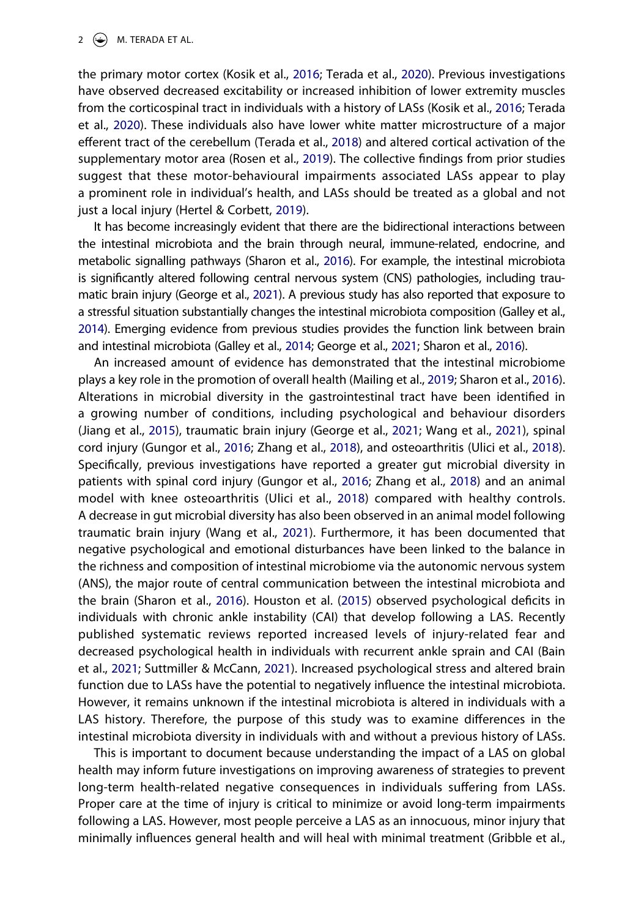#### 2  $\left(\frac{1}{2}\right)$  M. TERADA ET AL.

<span id="page-2-10"></span><span id="page-2-9"></span><span id="page-2-5"></span>the primary motor cortex (Kosik et al., [2016;](#page-14-1) Terada et al., [2020](#page-15-0)). Previous investigations have observed decreased excitability or increased inhibition of lower extremity muscles from the corticospinal tract in individuals with a history of LASs (Kosik et al., [2016](#page-14-1); Terada et al., [2020](#page-15-0)). These individuals also have lower white matter microstructure of a major efferent tract of the cerebellum (Terada et al., [2018\)](#page-15-1) and altered cortical activation of the supplementary motor area (Rosen et al., [2019](#page-15-2)). The collective findings from prior studies suggest that these motor-behavioural impairments associated LASs appear to play a prominent role in individual's health, and LASs should be treated as a global and not just a local injury (Hertel & Corbett, [2019\)](#page-13-2).

<span id="page-2-7"></span>It has become increasingly evident that there are the bidirectional interactions between the intestinal microbiota and the brain through neural, immune-related, endocrine, and metabolic signalling pathways (Sharon et al., [2016\)](#page-15-3). For example, the intestinal microbiota is significantly altered following central nervous system (CNS) pathologies, including traumatic brain injury (George et al., [2021\)](#page-13-3). A previous study has also reported that exposure to a stressful situation substantially changes the intestinal microbiota composition (Galley et al., [2014\)](#page-13-4). Emerging evidence from previous studies provides the function link between brain and intestinal microbiota (Galley et al., [2014](#page-13-4); George et al., [2021;](#page-13-3) Sharon et al., [2016\)](#page-15-3).

<span id="page-2-12"></span><span id="page-2-11"></span><span id="page-2-6"></span><span id="page-2-4"></span><span id="page-2-2"></span><span id="page-2-1"></span>An increased amount of evidence has demonstrated that the intestinal microbiome plays a key role in the promotion of overall health (Mailing et al., [2019](#page-14-2); Sharon et al., [2016](#page-15-3)). Alterations in microbial diversity in the gastrointestinal tract have been identified in a growing number of conditions, including psychological and behaviour disorders (Jiang et al., [2015](#page-13-5)), traumatic brain injury (George et al., [2021](#page-13-3); Wang et al., [2021](#page-15-4)), spinal cord injury (Gungor et al., [2016](#page-13-6); Zhang et al., [2018](#page-15-5)), and osteoarthritis (Ulici et al., [2018](#page-15-6)). Specifically, previous investigations have reported a greater gut microbial diversity in patients with spinal cord injury (Gungor et al., [2016](#page-13-6); Zhang et al., [2018](#page-15-5)) and an animal model with knee osteoarthritis (Ulici et al., [2018\)](#page-15-6) compared with healthy controls. A decrease in gut microbial diversity has also been observed in an animal model following traumatic brain injury (Wang et al., [2021](#page-15-4)). Furthermore, it has been documented that negative psychological and emotional disturbances have been linked to the balance in the richness and composition of intestinal microbiome via the autonomic nervous system (ANS), the major route of central communication between the intestinal microbiota and the brain (Sharon et al., [2016](#page-15-3)). Houston et al. [\(2015\)](#page-13-1) observed psychological deficits in individuals with chronic ankle instability (CAI) that develop following a LAS. Recently published systematic reviews reported increased levels of injury-related fear and decreased psychological health in individuals with recurrent ankle sprain and CAI (Bain et al., [2021;](#page-12-1) Suttmiller & McCann, [2021](#page-15-7)). Increased psychological stress and altered brain function due to LASs have the potential to negatively influence the intestinal microbiota. However, it remains unknown if the intestinal microbiota is altered in individuals with a LAS history. Therefore, the purpose of this study was to examine differences in the intestinal microbiota diversity in individuals with and without a previous history of LASs.

<span id="page-2-8"></span><span id="page-2-3"></span><span id="page-2-0"></span>This is important to document because understanding the impact of a LAS on global health may inform future investigations on improving awareness of strategies to prevent long-term health-related negative consequences in individuals suffering from LASs. Proper care at the time of injury is critical to minimize or avoid long-term impairments following a LAS. However, most people perceive a LAS as an innocuous, minor injury that minimally influences general health and will heal with minimal treatment (Gribble et al.,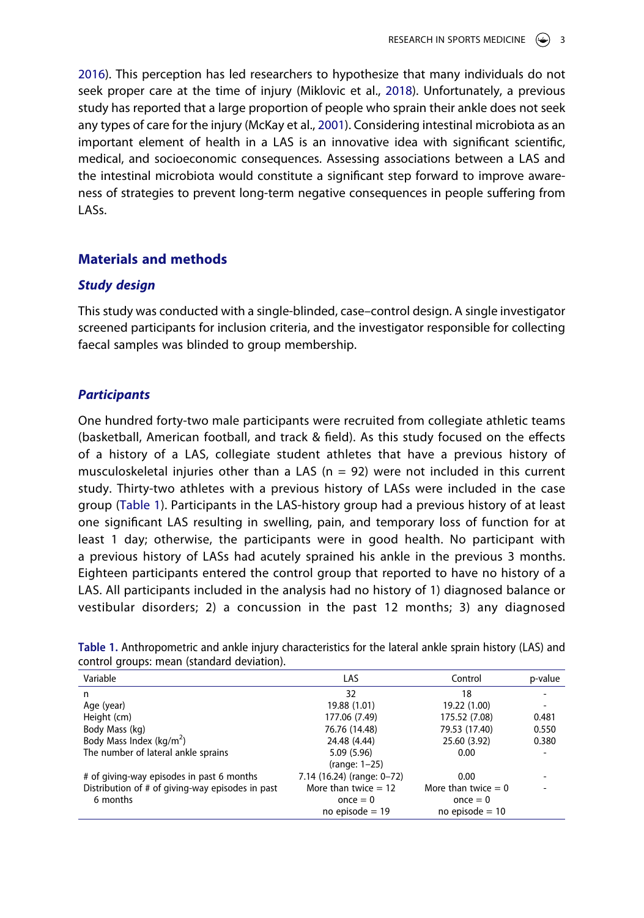<span id="page-3-2"></span><span id="page-3-1"></span>[2016\)](#page-13-7). This perception has led researchers to hypothesize that many individuals do not seek proper care at the time of injury (Miklovic et al., [2018\)](#page-14-3). Unfortunately, a previous study has reported that a large proportion of people who sprain their ankle does not seek any types of care for the injury (McKay et al., [2001](#page-14-4)). Considering intestinal microbiota as an important element of health in a LAS is an innovative idea with significant scientific, medical, and socioeconomic consequences. Assessing associations between a LAS and the intestinal microbiota would constitute a significant step forward to improve awareness of strategies to prevent long-term negative consequences in people suffering from LASs.

## **Materials and methods**

#### *Study design*

This study was conducted with a single-blinded, case–control design. A single investigator screened participants for inclusion criteria, and the investigator responsible for collecting faecal samples was blinded to group membership.

#### *Participants*

One hundred forty-two male participants were recruited from collegiate athletic teams (basketball, American football, and track & field). As this study focused on the effects of a history of a LAS, collegiate student athletes that have a previous history of musculoskeletal injuries other than a LAS ( $n = 92$ ) were not included in this current study. Thirty-two athletes with a previous history of LASs were included in the case group ([Table 1](#page-3-0)). Participants in the LAS-history group had a previous history of at least one significant LAS resulting in swelling, pain, and temporary loss of function for at least 1 day; otherwise, the participants were in good health. No participant with a previous history of LASs had acutely sprained his ankle in the previous 3 months. Eighteen participants entered the control group that reported to have no history of a LAS. All participants included in the analysis had no history of 1) diagnosed balance or vestibular disorders; 2) a concussion in the past 12 months; 3) any diagnosed

| Variable                                         | LAS                        | Control               | p-value |
|--------------------------------------------------|----------------------------|-----------------------|---------|
| n                                                | 32                         | 18                    |         |
| Age (year)                                       | 19.88 (1.01)               | 19.22 (1.00)          |         |
| Height (cm)                                      | 177.06 (7.49)              | 175.52 (7.08)         | 0.481   |
| Body Mass (kg)                                   | 76.76 (14.48)              | 79.53 (17.40)         | 0.550   |
| Body Mass Index ( $kg/m2$ )                      | 24.48 (4.44)               | 25.60 (3.92)          | 0.380   |
| The number of lateral ankle sprains              | 5.09 (5.96)                | 0.00                  |         |
|                                                  | (range: $1-25$ )           |                       |         |
| # of giving-way episodes in past 6 months        | 7.14 (16.24) (range: 0-72) | 0.00                  |         |
| Distribution of # of giving-way episodes in past | More than twice $= 12$     | More than twice $= 0$ |         |
| 6 months                                         | once $= 0$                 | once $= 0$            |         |
|                                                  | no episode $= 19$          | no episode $= 10$     |         |

<span id="page-3-0"></span>**Table 1.** Anthropometric and ankle injury characteristics for the lateral ankle sprain history (LAS) and control groups: mean (standard deviation).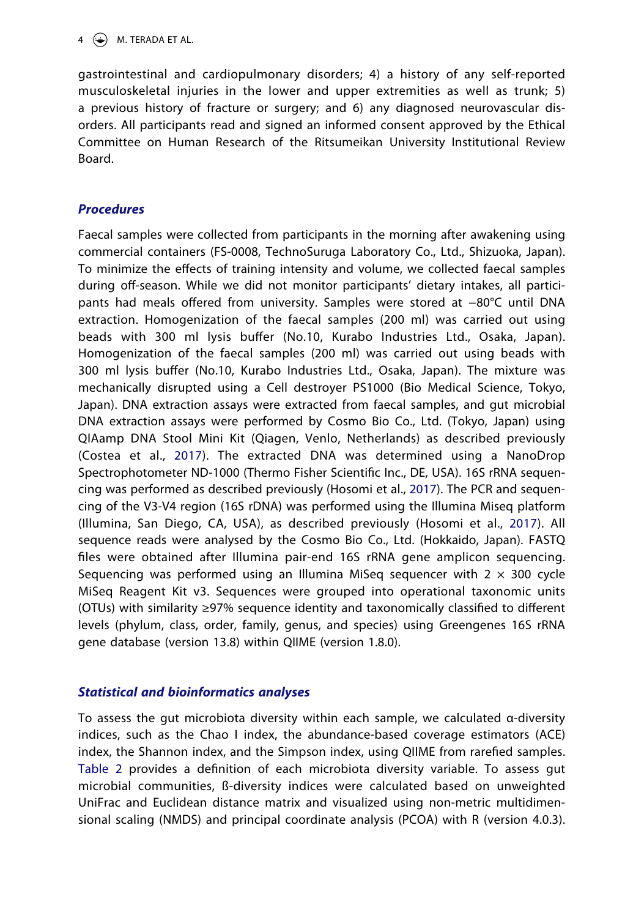$4 \quad \textcircled{\LARGE{\textcircled{\textcirc}}}$  M. TERADA ET AL.

gastrointestinal and cardiopulmonary disorders; 4) a history of any self-reported musculoskeletal injuries in the lower and upper extremities as well as trunk; 5) a previous history of fracture or surgery; and 6) any diagnosed neurovascular disorders. All participants read and signed an informed consent approved by the Ethical Committee on Human Research of the Ritsumeikan University Institutional Review Board.

# *Procedures*

<span id="page-4-0"></span>Faecal samples were collected from participants in the morning after awakening using commercial containers (FS-0008, TechnoSuruga Laboratory Co., Ltd., Shizuoka, Japan). To minimize the effects of training intensity and volume, we collected faecal samples during off-season. While we did not monitor participants' dietary intakes, all participants had meals offered from university. Samples were stored at −80°C until DNA extraction. Homogenization of the faecal samples (200 ml) was carried out using beads with 300 ml lysis buffer (No.10, Kurabo Industries Ltd., Osaka, Japan). Homogenization of the faecal samples (200 ml) was carried out using beads with 300 ml lysis buffer (No.10, Kurabo Industries Ltd., Osaka, Japan). The mixture was mechanically disrupted using a Cell destroyer PS1000 (Bio Medical Science, Tokyo, Japan). DNA extraction assays were extracted from faecal samples, and gut microbial DNA extraction assays were performed by Cosmo Bio Co., Ltd. (Tokyo, Japan) using QIAamp DNA Stool Mini Kit (Qiagen, Venlo, Netherlands) as described previously (Costea et al., [2017\)](#page-12-2). The extracted DNA was determined using a NanoDrop Spectrophotometer ND-1000 (Thermo Fisher Scientific Inc., DE, USA). 16S rRNA sequencing was performed as described previously (Hosomi et al., [2017\)](#page-13-8). The PCR and sequencing of the V3-V4 region (16S rDNA) was performed using the Illumina Miseq platform (Illumina, San Diego, CA, USA), as described previously (Hosomi et al., [2017\)](#page-13-8). All sequence reads were analysed by the Cosmo Bio Co., Ltd. (Hokkaido, Japan). FASTQ files were obtained after Illumina pair-end 16S rRNA gene amplicon sequencing. Sequencing was performed using an Illumina MiSeq sequencer with  $2 \times 300$  cycle MiSeq Reagent Kit v3. Sequences were grouped into operational taxonomic units (OTUs) with similarity ≥97% sequence identity and taxonomically classified to different levels (phylum, class, order, family, genus, and species) using Greengenes 16S rRNA gene database (version 13.8) within QIIME (version 1.8.0).

# <span id="page-4-1"></span>*Statistical and bioinformatics analyses*

To assess the gut microbiota diversity within each sample, we calculated α-diversity indices, such as the Chao I index, the abundance-based coverage estimators (ACE) index, the Shannon index, and the Simpson index, using QIIME from rarefied samples. [Table 2](#page-5-0) provides a definition of each microbiota diversity variable. To assess gut microbial communities, ß-diversity indices were calculated based on unweighted UniFrac and Euclidean distance matrix and visualized using non-metric multidimensional scaling (NMDS) and principal coordinate analysis (PCOA) with R (version 4.0.3).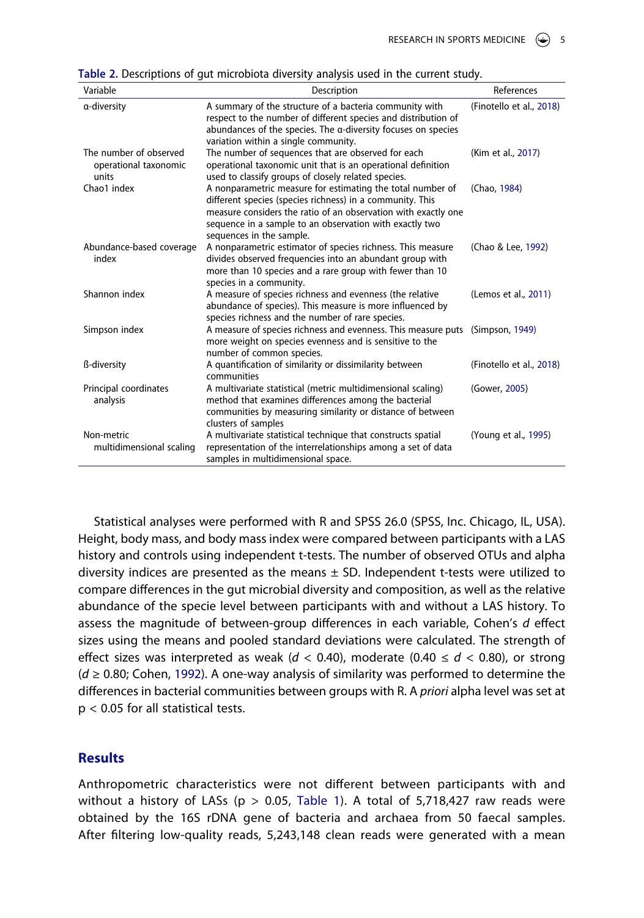<span id="page-5-0"></span>**Table 2.** Descriptions of gut microbiota diversity analysis used in the current study.

<span id="page-5-7"></span><span id="page-5-6"></span><span id="page-5-2"></span><span id="page-5-1"></span>

| Variable                                                 | Description                                                                                                                                                                                                                                                                      | References               |
|----------------------------------------------------------|----------------------------------------------------------------------------------------------------------------------------------------------------------------------------------------------------------------------------------------------------------------------------------|--------------------------|
| a-diversity                                              | A summary of the structure of a bacteria community with<br>respect to the number of different species and distribution of<br>abundances of the species. The $\alpha$ -diversity focuses on species<br>variation within a single community.                                       | (Finotello et al., 2018) |
| The number of observed<br>operational taxonomic<br>units | The number of sequences that are observed for each<br>operational taxonomic unit that is an operational definition<br>used to classify groups of closely related species.                                                                                                        | (Kim et al., 2017)       |
| Chao1 index                                              | A nonparametric measure for estimating the total number of<br>different species (species richness) in a community. This<br>measure considers the ratio of an observation with exactly one<br>sequence in a sample to an observation with exactly two<br>sequences in the sample. | (Chao, 1984)             |
| Abundance-based coverage<br>index                        | A nonparametric estimator of species richness. This measure<br>divides observed frequencies into an abundant group with<br>more than 10 species and a rare group with fewer than 10<br>species in a community.                                                                   | (Chao & Lee, 1992)       |
| Shannon index                                            | A measure of species richness and evenness (the relative<br>abundance of species). This measure is more influenced by<br>species richness and the number of rare species.                                                                                                        | (Lemos et al., 2011)     |
| Simpson index                                            | A measure of species richness and evenness. This measure puts<br>more weight on species evenness and is sensitive to the<br>number of common species.                                                                                                                            | (Simpson, 1949)          |
| ß-diversity                                              | A quantification of similarity or dissimilarity between<br>communities                                                                                                                                                                                                           | (Finotello et al., 2018) |
| Principal coordinates<br>analysis                        | A multivariate statistical (metric multidimensional scaling)<br>method that examines differences among the bacterial<br>communities by measuring similarity or distance of between<br>clusters of samples                                                                        | (Gower, 2005)            |
| Non-metric<br>multidimensional scaling                   | A multivariate statistical technique that constructs spatial<br>representation of the interrelationships among a set of data<br>samples in multidimensional space.                                                                                                               | (Young et al., 1995)     |

<span id="page-5-9"></span><span id="page-5-8"></span><span id="page-5-5"></span><span id="page-5-4"></span>Statistical analyses were performed with R and SPSS 26.0 (SPSS, Inc. Chicago, IL, USA). Height, body mass, and body mass index were compared between participants with a LAS history and controls using independent t-tests. The number of observed OTUs and alpha diversity indices are presented as the means  $\pm$  SD. Independent t-tests were utilized to compare differences in the gut microbial diversity and composition, as well as the relative abundance of the specie level between participants with and without a LAS history. To assess the magnitude of between-group differences in each variable, Cohen's *d* effect sizes using the means and pooled standard deviations were calculated. The strength of effect sizes was interpreted as weak ( $d < 0.40$ ), moderate (0.40  $\leq d < 0.80$ ), or strong (*d* ≥ 0.80; Cohen, [1992](#page-12-3)). A one-way analysis of similarity was performed to determine the differences in bacterial communities between groups with R. A *priori* alpha level was set at p < 0.05 for all statistical tests.

# <span id="page-5-3"></span>**Results**

Anthropometric characteristics were not different between participants with and without a history of LASs ( $p > 0.05$ , [Table 1\)](#page-3-0). A total of 5,718,427 raw reads were obtained by the 16S rDNA gene of bacteria and archaea from 50 faecal samples. After filtering low-quality reads, 5,243,148 clean reads were generated with a mean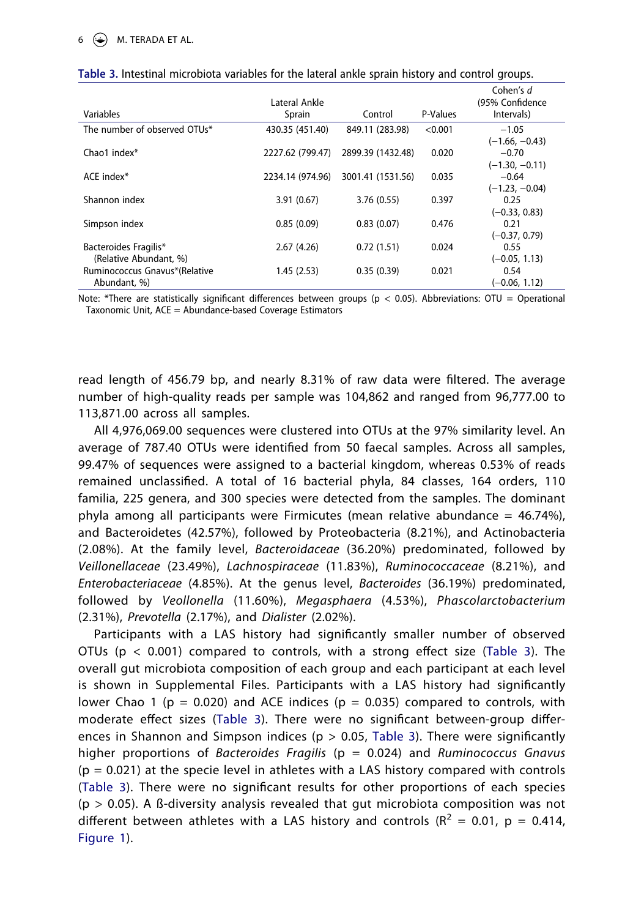# 6 M. TERADA ET AL.

| Variables                                       | Lateral Ankle<br>Sprain | Control           | P-Values | Cohen's d<br>(95% Confidence<br>Intervals)      |
|-------------------------------------------------|-------------------------|-------------------|----------|-------------------------------------------------|
| The number of observed OTUs*                    | 430.35 (451.40)         | 849.11 (283.98)   | < 0.001  | $-1.05$                                         |
| Chao1 index*                                    | 2227.62 (799.47)        | 2899.39 (1432.48) | 0.020    | $(-1.66, -0.43)$<br>$-0.70$<br>$(-1.30, -0.11)$ |
| ACE index*                                      | 2234.14 (974.96)        | 3001.41 (1531.56) | 0.035    | $-0.64$                                         |
| Shannon index                                   | 3.91(0.67)              | 3.76(0.55)        | 0.397    | $(-1.23, -0.04)$<br>0.25                        |
| Simpson index                                   | 0.85(0.09)              | 0.83(0.07)        | 0.476    | $(-0.33, 0.83)$<br>0.21                         |
| Bacteroides Fragilis*<br>(Relative Abundant, %) | 2.67(4.26)              | 0.72(1.51)        | 0.024    | $(-0.37, 0.79)$<br>0.55<br>$(-0.05, 1.13)$      |
| Ruminococcus Gnavus*(Relative<br>Abundant, %)   | 1.45(2.53)              | 0.35(0.39)        | 0.021    | 0.54<br>$(-0.06, 1.12)$                         |

<span id="page-6-0"></span>

| Table 3. Intestinal microbiota variables for the lateral ankle sprain history and control groups. |  |  |
|---------------------------------------------------------------------------------------------------|--|--|
|---------------------------------------------------------------------------------------------------|--|--|

Note: \*There are statistically significant differences between groups ( $p < 0.05$ ). Abbreviations: OTU = Operational Taxonomic Unit, ACE = Abundance-based Coverage Estimators

read length of 456.79 bp, and nearly 8.31% of raw data were filtered. The average number of high-quality reads per sample was 104,862 and ranged from 96,777.00 to 113,871.00 across all samples.

All 4,976,069.00 sequences were clustered into OTUs at the 97% similarity level. An average of 787.40 OTUs were identified from 50 faecal samples. Across all samples, 99.47% of sequences were assigned to a bacterial kingdom, whereas 0.53% of reads remained unclassified. A total of 16 bacterial phyla, 84 classes, 164 orders, 110 familia, 225 genera, and 300 species were detected from the samples. The dominant phyla among all participants were Firmicutes (mean relative abundance =  $46.74\%$ ), and Bacteroidetes (42.57%), followed by Proteobacteria (8.21%), and Actinobacteria (2.08%). At the family level, *Bacteroidaceae* (36.20%) predominated, followed by *Veillonellaceae* (23.49%), *Lachnospiraceae* (11.83%), *Ruminococcaceae* (8.21%), and *Enterobacteriaceae* (4.85%). At the genus level, *Bacteroides* (36.19%) predominated, followed by *Veollonella* (11.60%), *Megasphaera* (4.53%), *Phascolarctobacterium*  (2.31%), *Prevotella* (2.17%), and *Dialister* (2.02%).

Participants with a LAS history had significantly smaller number of observed OTUs ( $p < 0.001$ ) compared to controls, with a strong effect size ([Table 3\)](#page-6-0). The overall gut microbiota composition of each group and each participant at each level is shown in Supplemental Files. Participants with a LAS history had significantly lower Chao 1 ( $p = 0.020$ ) and ACE indices ( $p = 0.035$ ) compared to controls, with moderate effect sizes ([Table 3](#page-6-0)). There were no significant between-group differences in Shannon and Simpson indices ( $p > 0.05$ , [Table 3](#page-6-0)). There were significantly higher proportions of *Bacteroides Fragilis* (p = 0.024) and *Ruminococcus Gnavus*   $(p = 0.021)$  at the specie level in athletes with a LAS history compared with controls ([Table 3\)](#page-6-0). There were no significant results for other proportions of each species  $(p > 0.05)$ . A ß-diversity analysis revealed that gut microbiota composition was not different between athletes with a LAS history and controls ( $R^2 = 0.01$ ,  $p = 0.414$ , [Figure 1\)](#page-7-0).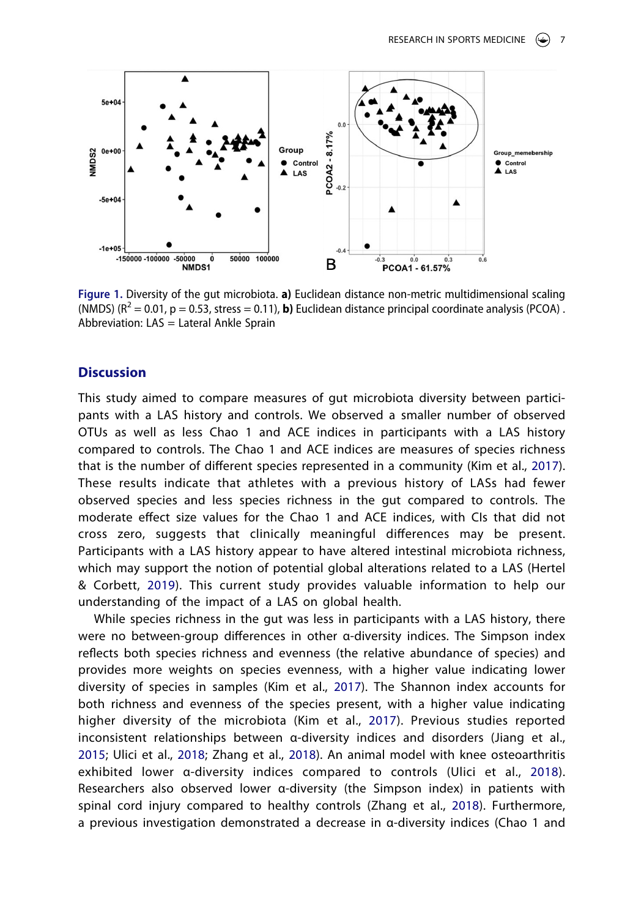<span id="page-7-0"></span>

**Figure 1.** Diversity of the gut microbiota. **a)** Euclidean distance non-metric multidimensional scaling (NMDS)  $(R^2 = 0.01, p = 0.53$ , stress = 0.11), **b**) Euclidean distance principal coordinate analysis (PCOA). Abbreviation: LAS = Lateral Ankle Sprain

#### **Discussion**

This study aimed to compare measures of gut microbiota diversity between participants with a LAS history and controls. We observed a smaller number of observed OTUs as well as less Chao 1 and ACE indices in participants with a LAS history compared to controls. The Chao 1 and ACE indices are measures of species richness that is the number of different species represented in a community (Kim et al., [2017](#page-14-5)). These results indicate that athletes with a previous history of LASs had fewer observed species and less species richness in the gut compared to controls. The moderate effect size values for the Chao 1 and ACE indices, with CIs that did not cross zero, suggests that clinically meaningful differences may be present. Participants with a LAS history appear to have altered intestinal microbiota richness, which may support the notion of potential global alterations related to a LAS (Hertel & Corbett, [2019](#page-13-2)). This current study provides valuable information to help our understanding of the impact of a LAS on global health.

While species richness in the gut was less in participants with a LAS history, there were no between-group differences in other α-diversity indices. The Simpson index reflects both species richness and evenness (the relative abundance of species) and provides more weights on species evenness, with a higher value indicating lower diversity of species in samples (Kim et al., [2017\)](#page-14-5). The Shannon index accounts for both richness and evenness of the species present, with a higher value indicating higher diversity of the microbiota (Kim et al., [2017\)](#page-14-5). Previous studies reported inconsistent relationships between α-diversity indices and disorders (Jiang et al., [2015;](#page-13-5) Ulici et al., [2018](#page-15-6); Zhang et al., [2018](#page-15-5)). An animal model with knee osteoarthritis exhibited lower α-diversity indices compared to controls (Ulici et al., [2018](#page-15-6)). Researchers also observed lower α-diversity (the Simpson index) in patients with spinal cord injury compared to healthy controls (Zhang et al., [2018](#page-15-5)). Furthermore, a previous investigation demonstrated a decrease in α-diversity indices (Chao 1 and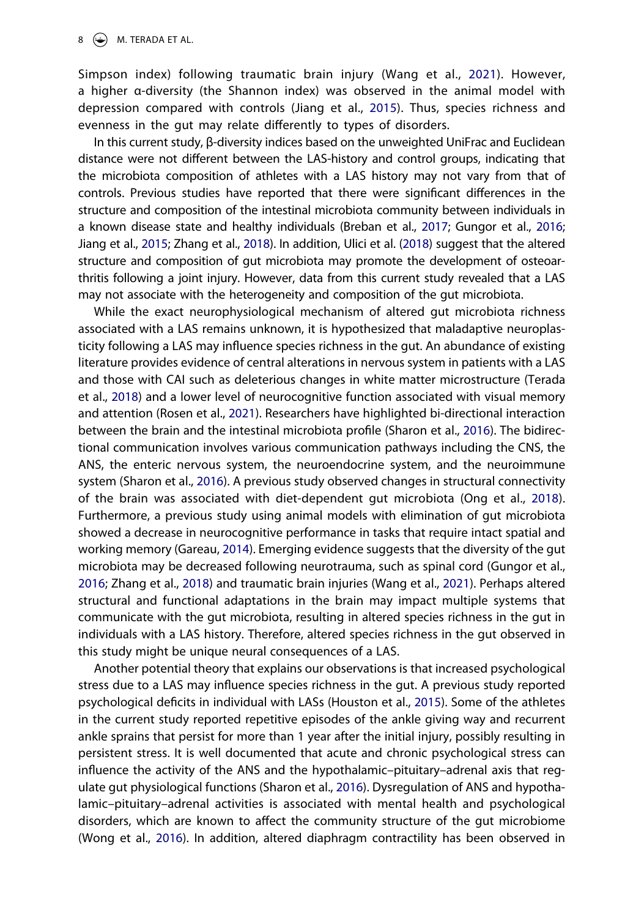#### $8 \quad \circledast$  M. TERADA ET AL.

Simpson index) following traumatic brain injury (Wang et al., [2021\)](#page-15-4). However, a higher α-diversity (the Shannon index) was observed in the animal model with depression compared with controls (Jiang et al., [2015](#page-13-5)). Thus, species richness and evenness in the gut may relate differently to types of disorders.

<span id="page-8-0"></span>In this current study, β-diversity indices based on the unweighted UniFrac and Euclidean distance were not different between the LAS-history and control groups, indicating that the microbiota composition of athletes with a LAS history may not vary from that of controls. Previous studies have reported that there were significant differences in the structure and composition of the intestinal microbiota community between individuals in a known disease state and healthy individuals (Breban et al., [2017](#page-12-6); Gungor et al., [2016](#page-13-6); Jiang et al., [2015;](#page-13-5) Zhang et al., [2018\)](#page-15-5). In addition, Ulici et al. ([2018\)](#page-15-6) suggest that the altered structure and composition of gut microbiota may promote the development of osteoarthritis following a joint injury. However, data from this current study revealed that a LAS may not associate with the heterogeneity and composition of the gut microbiota.

<span id="page-8-3"></span>While the exact neurophysiological mechanism of altered gut microbiota richness associated with a LAS remains unknown, it is hypothesized that maladaptive neuroplasticity following a LAS may influence species richness in the gut. An abundance of existing literature provides evidence of central alterations in nervous system in patients with a LAS and those with CAI such as deleterious changes in white matter microstructure (Terada et al., [2018\)](#page-15-1) and a lower level of neurocognitive function associated with visual memory and attention (Rosen et al., [2021\)](#page-14-7). Researchers have highlighted bi-directional interaction between the brain and the intestinal microbiota profile (Sharon et al., [2016\)](#page-15-3). The bidirectional communication involves various communication pathways including the CNS, the ANS, the enteric nervous system, the neuroendocrine system, and the neuroimmune system (Sharon et al., [2016](#page-15-3)). A previous study observed changes in structural connectivity of the brain was associated with diet-dependent gut microbiota (Ong et al., [2018](#page-14-8)). Furthermore, a previous study using animal models with elimination of gut microbiota showed a decrease in neurocognitive performance in tasks that require intact spatial and working memory (Gareau, [2014](#page-13-11)). Emerging evidence suggests that the diversity of the gut microbiota may be decreased following neurotrauma, such as spinal cord (Gungor et al., [2016;](#page-13-6) Zhang et al., [2018](#page-15-5)) and traumatic brain injuries (Wang et al., [2021\)](#page-15-4). Perhaps altered structural and functional adaptations in the brain may impact multiple systems that communicate with the gut microbiota, resulting in altered species richness in the gut in individuals with a LAS history. Therefore, altered species richness in the gut observed in this study might be unique neural consequences of a LAS.

<span id="page-8-4"></span><span id="page-8-2"></span><span id="page-8-1"></span>Another potential theory that explains our observations is that increased psychological stress due to a LAS may influence species richness in the gut. A previous study reported psychological deficits in individual with LASs (Houston et al., [2015](#page-13-1)). Some of the athletes in the current study reported repetitive episodes of the ankle giving way and recurrent ankle sprains that persist for more than 1 year after the initial injury, possibly resulting in persistent stress. It is well documented that acute and chronic psychological stress can influence the activity of the ANS and the hypothalamic–pituitary–adrenal axis that regulate gut physiological functions (Sharon et al., [2016](#page-15-3)). Dysregulation of ANS and hypothalamic–pituitary–adrenal activities is associated with mental health and psychological disorders, which are known to affect the community structure of the gut microbiome (Wong et al., [2016\)](#page-15-10). In addition, altered diaphragm contractility has been observed in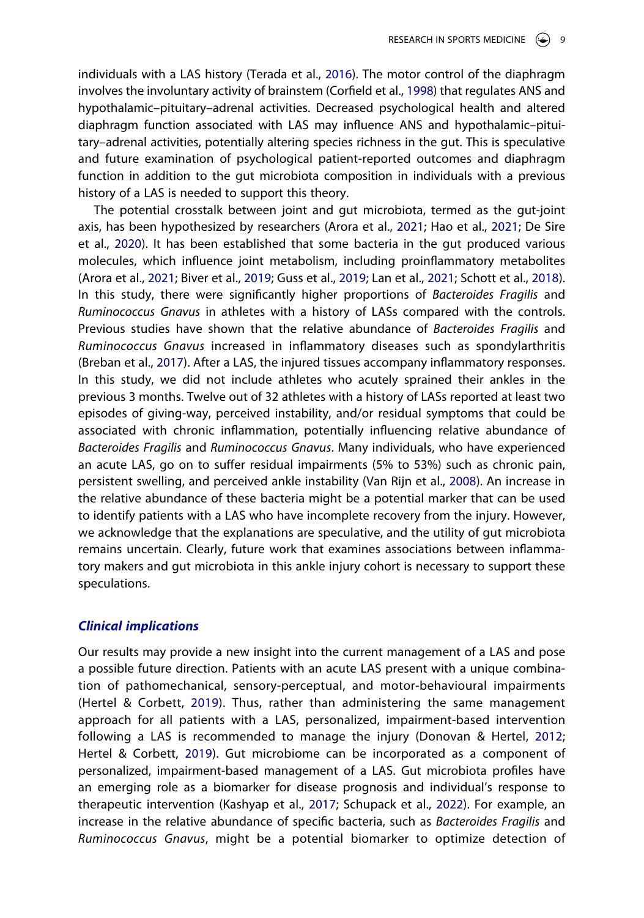<span id="page-9-6"></span><span id="page-9-1"></span>individuals with a LAS history (Terada et al., [2016\)](#page-15-11). The motor control of the diaphragm involves the involuntary activity of brainstem (Corfield et al., [1998](#page-12-7)) that regulates ANS and hypothalamic–pituitary–adrenal activities. Decreased psychological health and altered diaphragm function associated with LAS may influence ANS and hypothalamic–pituitary–adrenal activities, potentially altering species richness in the gut. This is speculative and future examination of psychological patient-reported outcomes and diaphragm function in addition to the gut microbiota composition in individuals with a previous history of a LAS is needed to support this theory.

<span id="page-9-4"></span><span id="page-9-2"></span><span id="page-9-0"></span>The potential crosstalk between joint and gut microbiota, termed as the gut-joint axis, has been hypothesized by researchers (Arora et al., [2021;](#page-11-0) Hao et al., [2021](#page-13-12); De Sire et al., [2020\)](#page-12-8). It has been established that some bacteria in the gut produced various molecules, which influence joint metabolism, including proinflammatory metabolites (Arora et al., [2021](#page-11-0); Biver et al., [2019;](#page-12-9) Guss et al., [2019](#page-13-13); Lan et al., [2021](#page-14-9); Schott et al., [2018](#page-15-12)). In this study, there were significantly higher proportions of *Bacteroides Fragilis* and *Ruminococcus Gnavus* in athletes with a history of LASs compared with the controls. Previous studies have shown that the relative abundance of *Bacteroides Fragilis* and *Ruminococcus Gnavus* increased in inflammatory diseases such as spondylarthritis (Breban et al., [2017\)](#page-12-6). After a LAS, the injured tissues accompany inflammatory responses. In this study, we did not include athletes who acutely sprained their ankles in the previous 3 months. Twelve out of 32 athletes with a history of LASs reported at least two episodes of giving-way, perceived instability, and/or residual symptoms that could be associated with chronic inflammation, potentially influencing relative abundance of *Bacteroides Fragilis* and *Ruminococcus Gnavus*. Many individuals, who have experienced an acute LAS, go on to suffer residual impairments (5% to 53%) such as chronic pain, persistent swelling, and perceived ankle instability (Van Rijn et al., [2008\)](#page-15-13). An increase in the relative abundance of these bacteria might be a potential marker that can be used to identify patients with a LAS who have incomplete recovery from the injury. However, we acknowledge that the explanations are speculative, and the utility of gut microbiota remains uncertain. Clearly, future work that examines associations between inflammatory makers and gut microbiota in this ankle injury cohort is necessary to support these speculations.

#### <span id="page-9-7"></span>*Clinical implications*

<span id="page-9-5"></span><span id="page-9-3"></span>Our results may provide a new insight into the current management of a LAS and pose a possible future direction. Patients with an acute LAS present with a unique combination of pathomechanical, sensory-perceptual, and motor-behavioural impairments (Hertel & Corbett, [2019\)](#page-13-2). Thus, rather than administering the same management approach for all patients with a LAS, personalized, impairment-based intervention following a LAS is recommended to manage the injury (Donovan & Hertel, [2012](#page-12-10); Hertel & Corbett, [2019\)](#page-13-2). Gut microbiome can be incorporated as a component of personalized, impairment-based management of a LAS. Gut microbiota profiles have an emerging role as a biomarker for disease prognosis and individual's response to therapeutic intervention (Kashyap et al., [2017](#page-14-10); Schupack et al., [2022\)](#page-15-14). For example, an increase in the relative abundance of specific bacteria, such as *Bacteroides Fragilis* and *Ruminococcus Gnavus*, might be a potential biomarker to optimize detection of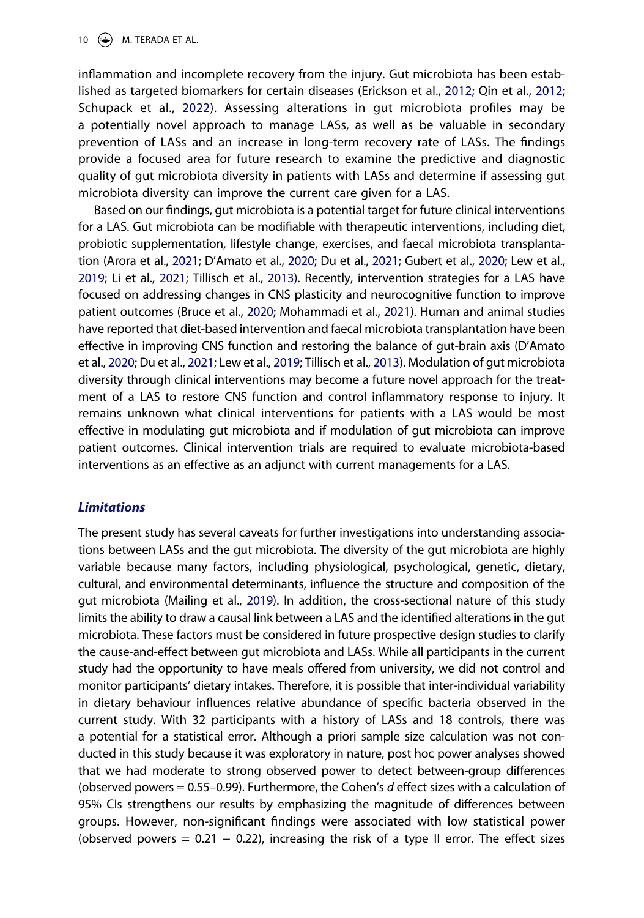10  $\left(\rightarrow\right)$  M. TERADA ET AL.

<span id="page-10-2"></span>inflammation and incomplete recovery from the injury. Gut microbiota has been established as targeted biomarkers for certain diseases (Erickson et al., [2012;](#page-13-14) Qin et al., [2012](#page-14-11); Schupack et al., [2022\)](#page-15-14). Assessing alterations in gut microbiota profiles may be a potentially novel approach to manage LASs, as well as be valuable in secondary prevention of LASs and an increase in long-term recovery rate of LASs. The findings provide a focused area for future research to examine the predictive and diagnostic quality of gut microbiota diversity in patients with LASs and determine if assessing gut microbiota diversity can improve the current care given for a LAS.

<span id="page-10-4"></span><span id="page-10-3"></span><span id="page-10-1"></span><span id="page-10-0"></span>Based on our findings, gut microbiota is a potential target for future clinical interventions for a LAS. Gut microbiota can be modifiable with therapeutic interventions, including diet, probiotic supplementation, lifestyle change, exercises, and faecal microbiota transplantation (Arora et al., [2021](#page-11-0); D'Amato et al., [2020;](#page-12-11) Du et al., [2021](#page-12-12); Gubert et al., [2020;](#page-13-15) Lew et al., [2019](#page-14-12); Li et al., [2021](#page-14-13); Tillisch et al., [2013](#page-15-15)). Recently, intervention strategies for a LAS have focused on addressing changes in CNS plasticity and neurocognitive function to improve patient outcomes (Bruce et al., [2020](#page-12-13); Mohammadi et al., [2021](#page-14-14)). Human and animal studies have reported that diet-based intervention and faecal microbiota transplantation have been effective in improving CNS function and restoring the balance of gut-brain axis (D'Amato et al., [2020](#page-12-11); Du et al., [2021;](#page-12-12) Lew et al., [2019;](#page-14-12) Tillisch et al., [2013](#page-15-15)). Modulation of gut microbiota diversity through clinical interventions may become a future novel approach for the treatment of a LAS to restore CNS function and control inflammatory response to injury. It remains unknown what clinical interventions for patients with a LAS would be most effective in modulating gut microbiota and if modulation of gut microbiota can improve patient outcomes. Clinical intervention trials are required to evaluate microbiota-based interventions as an effective as an adjunct with current managements for a LAS.

## *Limitations*

The present study has several caveats for further investigations into understanding associations between LASs and the gut microbiota. The diversity of the gut microbiota are highly variable because many factors, including physiological, psychological, genetic, dietary, cultural, and environmental determinants, influence the structure and composition of the gut microbiota (Mailing et al., [2019](#page-14-2)). In addition, the cross-sectional nature of this study limits the ability to draw a causal link between a LAS and the identified alterations in the gut microbiota. These factors must be considered in future prospective design studies to clarify the cause-and-effect between gut microbiota and LASs. While all participants in the current study had the opportunity to have meals offered from university, we did not control and monitor participants' dietary intakes. Therefore, it is possible that inter-individual variability in dietary behaviour influences relative abundance of specific bacteria observed in the current study. With 32 participants with a history of LASs and 18 controls, there was a potential for a statistical error. Although a priori sample size calculation was not conducted in this study because it was exploratory in nature, post hoc power analyses showed that we had moderate to strong observed power to detect between-group differences (observed powers = 0.55–0.99). Furthermore, the Cohen's *d* effect sizes with a calculation of 95% CIs strengthens our results by emphasizing the magnitude of differences between groups. However, non-significant findings were associated with low statistical power (observed powers =  $0.21 - 0.22$ ), increasing the risk of a type II error. The effect sizes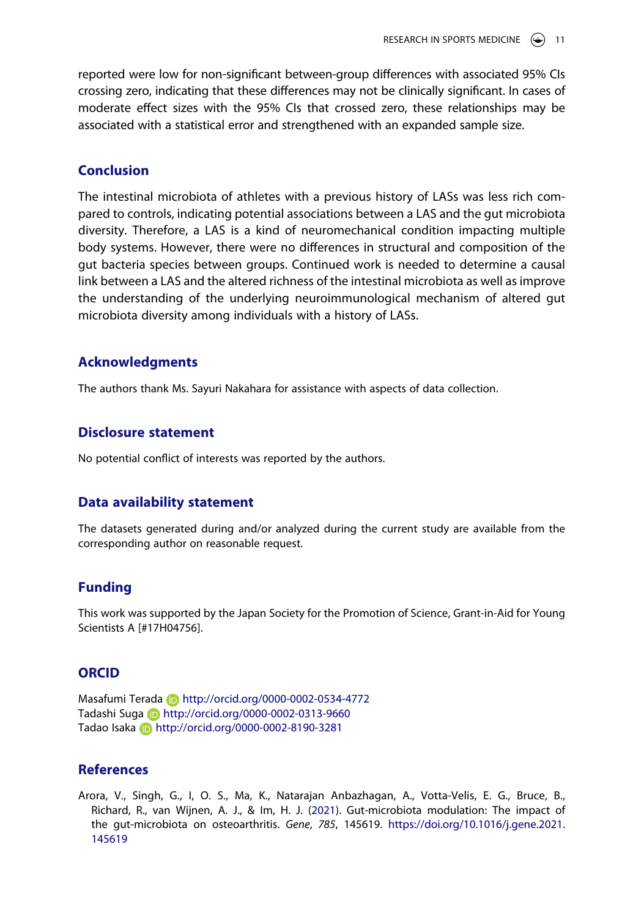reported were low for non-significant between-group differences with associated 95% CIs crossing zero, indicating that these differences may not be clinically significant. In cases of moderate effect sizes with the 95% CIs that crossed zero, these relationships may be associated with a statistical error and strengthened with an expanded sample size.

## **Conclusion**

The intestinal microbiota of athletes with a previous history of LASs was less rich compared to controls, indicating potential associations between a LAS and the gut microbiota diversity. Therefore, a LAS is a kind of neuromechanical condition impacting multiple body systems. However, there were no differences in structural and composition of the gut bacteria species between groups. Continued work is needed to determine a causal link between a LAS and the altered richness of the intestinal microbiota as well as improve the understanding of the underlying neuroimmunological mechanism of altered gut microbiota diversity among individuals with a history of LASs.

### **Acknowledgments**

The authors thank Ms. Sayuri Nakahara for assistance with aspects of data collection.

## **Disclosure statement**

No potential conflict of interests was reported by the authors.

#### **Data availability statement**

The datasets generated during and/or analyzed during the current study are available from the corresponding author on reasonable request.

### **Funding**

This work was supported by the Japan Society for the Promotion of Science, Grant-in-Aid for Young Scientists A [#17H04756].

## **ORCID**

Masafumi Terada **http://orcid.org/0000-0002-0534-4772** Tadashi Suga **b** http://orcid.org/0000-0002-0313-9660 Tadao Isaka **http://orcid.org/0000-0002-8190-3281** 

# **References**

<span id="page-11-0"></span>Arora, V., Singh, G., I, O. S., Ma, K., Natarajan Anbazhagan, A., Votta-Velis, E. G., Bruce, B., Richard, R., van Wijnen, A. J., & Im, H. J. ([2021](#page-9-0)). Gut-microbiota modulation: The impact of the gut-microbiota on osteoarthritis. *Gene*, *785*, 145619. [https://doi.org/10.1016/j.gene.2021.](https://doi.org/10.1016/j.gene.2021.145619) [145619](https://doi.org/10.1016/j.gene.2021.145619)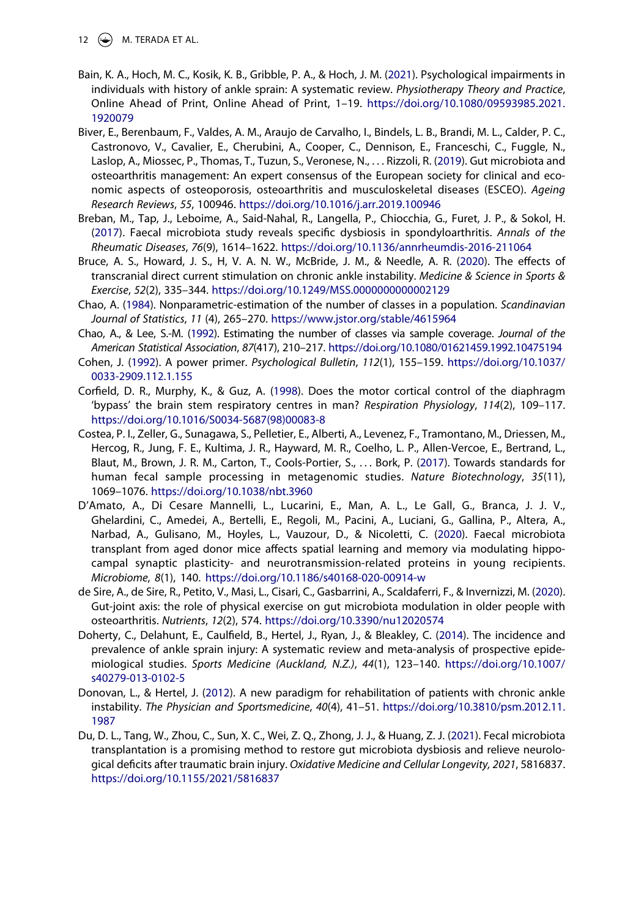12  $\left(\rightarrow\right)$  M. TERADA ET AL.

- <span id="page-12-1"></span>Bain, K. A., Hoch, M. C., Kosik, K. B., Gribble, P. A., & Hoch, J. M. [\(2021\)](#page-2-0). Psychological impairments in individuals with history of ankle sprain: A systematic review. *Physiotherapy Theory and Practice*, Online Ahead of Print, Online Ahead of Print, 1–19. [https://doi.org/10.1080/09593985.2021.](https://doi.org/10.1080/09593985.2021.1920079) [1920079](https://doi.org/10.1080/09593985.2021.1920079)
- <span id="page-12-9"></span>Biver, E., Berenbaum, F., Valdes, A. M., Araujo de Carvalho, I., Bindels, L. B., Brandi, M. L., Calder, P. C., Castronovo, V., Cavalier, E., Cherubini, A., Cooper, C., Dennison, E., Franceschi, C., Fuggle, N., Laslop, A., Miossec, P., Thomas, T., Tuzun, S., Veronese, N., . . . Rizzoli, R. [\(2019\)](#page-9-0). Gut microbiota and osteoarthritis management: An expert consensus of the European society for clinical and economic aspects of osteoporosis, osteoarthritis and musculoskeletal diseases (ESCEO). *Ageing Research Reviews*, *55*, 100946. <https://doi.org/10.1016/j.arr.2019.100946>
- <span id="page-12-6"></span>Breban, M., Tap, J., Leboime, A., Said-Nahal, R., Langella, P., Chiocchia, G., Furet, J. P., & Sokol, H. ([2017](#page-8-0)). Faecal microbiota study reveals specific dysbiosis in spondyloarthritis. *Annals of the Rheumatic Diseases*, *76*(9), 1614–1622. <https://doi.org/10.1136/annrheumdis-2016-211064>
- <span id="page-12-13"></span>Bruce, A. S., Howard, J. S., H, V. A. N. W., McBride, J. M., & Needle, A. R. ([2020\)](#page-10-0). The effects of transcranial direct current stimulation on chronic ankle instability. *Medicine & Science in Sports & Exercise*, *52*(2), 335–344. <https://doi.org/10.1249/MSS.0000000000002129>
- <span id="page-12-4"></span>Chao, A. ([1984](#page-5-1)). Nonparametric-estimation of the number of classes in a population. *Scandinavian Journal of Statistics*, *11* (4), 265–270. <https://www.jstor.org/stable/4615964>
- <span id="page-12-5"></span>Chao, A., & Lee, S.-M. [\(1992\)](#page-5-2). Estimating the number of classes via sample coverage. *Journal of the American Statistical Association*, *87*(417), 210–217. <https://doi.org/10.1080/01621459.1992.10475194>
- <span id="page-12-3"></span>Cohen, J. ([1992](#page-5-3)). A power primer. *Psychological Bulletin*, *112*(1), 155–159. [https://doi.org/10.1037/](https://doi.org/10.1037/0033-2909.112.1.155) [0033-2909.112.1.155](https://doi.org/10.1037/0033-2909.112.1.155)
- <span id="page-12-7"></span>Corfield, D. R., Murphy, K., & Guz, A. ([1998](#page-9-1)). Does the motor cortical control of the diaphragm 'bypass' the brain stem respiratory centres in man? *Respiration Physiology*, *114*(2), 109–117. [https://doi.org/10.1016/S0034-5687\(98\)00083-8](https://doi.org/10.1016/S0034-5687(98)00083-8)
- <span id="page-12-2"></span>Costea, P. I., Zeller, G., Sunagawa, S., Pelletier, E., Alberti, A., Levenez, F., Tramontano, M., Driessen, M., Hercog, R., Jung, F. E., Kultima, J. R., Hayward, M. R., Coelho, L. P., Allen-Vercoe, E., Bertrand, L., Blaut, M., Brown, J. R. M., Carton, T., Cools-Portier, S., . . . Bork, P. ([2017](#page-4-0)). Towards standards for human fecal sample processing in metagenomic studies. *Nature Biotechnology*, *35*(11), 1069–1076. <https://doi.org/10.1038/nbt.3960>
- <span id="page-12-11"></span>D'Amato, A., Di Cesare Mannelli, L., Lucarini, E., Man, A. L., Le Gall, G., Branca, J. J. V., Ghelardini, C., Amedei, A., Bertelli, E., Regoli, M., Pacini, A., Luciani, G., Gallina, P., Altera, A., Narbad, A., Gulisano, M., Hoyles, L., Vauzour, D., & Nicoletti, C. [\(2020\)](#page-10-1). Faecal microbiota transplant from aged donor mice affects spatial learning and memory via modulating hippocampal synaptic plasticity- and neurotransmission-related proteins in young recipients. *Microbiome*, *8*(1), 140. <https://doi.org/10.1186/s40168-020-00914-w>
- <span id="page-12-8"></span>de Sire, A., de Sire, R., Petito, V., Masi, L., Cisari, C., Gasbarrini, A., Scaldaferri, F., & Invernizzi, M. [\(2020\)](#page-9-2). Gut-joint axis: the role of physical exercise on gut microbiota modulation in older people with osteoarthritis. *Nutrients*, *12*(2), 574. <https://doi.org/10.3390/nu12020574>
- <span id="page-12-0"></span>Doherty, C., Delahunt, E., Caulfield, B., Hertel, J., Ryan, J., & Bleakley, C. [\(2014\)](#page-1-1). The incidence and prevalence of ankle sprain injury: A systematic review and meta-analysis of prospective epidemiological studies. *Sports Medicine (Auckland, N.Z.)*, *44*(1), 123–140. [https://doi.org/10.1007/](https://doi.org/10.1007/s40279-013-0102-5) [s40279-013-0102-5](https://doi.org/10.1007/s40279-013-0102-5)
- <span id="page-12-10"></span>Donovan, L., & Hertel, J. ([2012](#page-9-3)). A new paradigm for rehabilitation of patients with chronic ankle instability. *The Physician and Sportsmedicine*, *40*(4), 41–51. [https://doi.org/10.3810/psm.2012.11.](https://doi.org/10.3810/psm.2012.11.1987) [1987](https://doi.org/10.3810/psm.2012.11.1987)
- <span id="page-12-12"></span>Du, D. L., Tang, W., Zhou, C., Sun, X. C., Wei, Z. Q., Zhong, J. J., & Huang, Z. J. ([2021](#page-10-1)). Fecal microbiota transplantation is a promising method to restore gut microbiota dysbiosis and relieve neurological deficits after traumatic brain injury. *Oxidative Medicine and Cellular Longevity, 2021*, 5816837. <https://doi.org/10.1155/2021/5816837>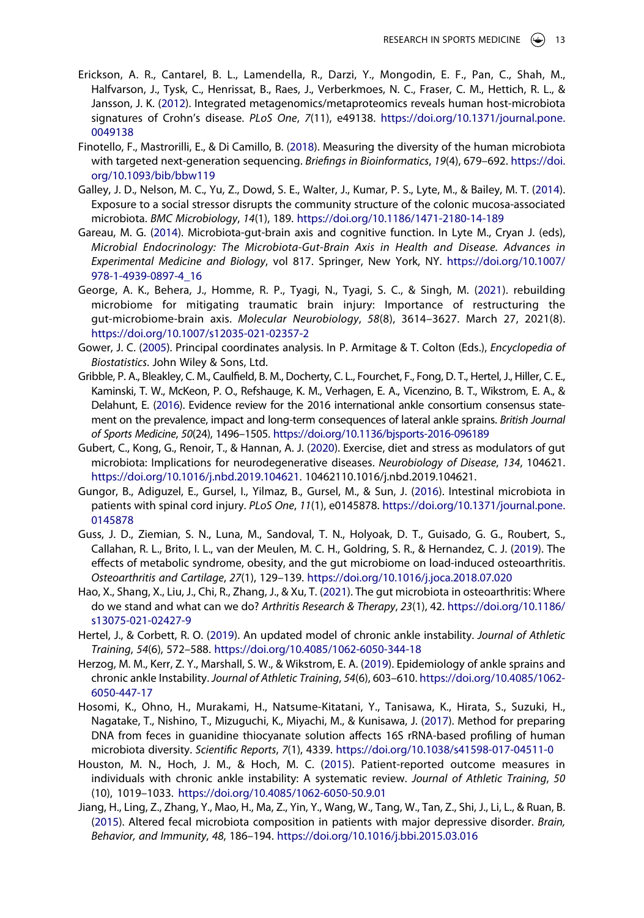- <span id="page-13-14"></span>Erickson, A. R., Cantarel, B. L., Lamendella, R., Darzi, Y., Mongodin, E. F., Pan, C., Shah, M., Halfvarson, J., Tysk, C., Henrissat, B., Raes, J., Verberkmoes, N. C., Fraser, C. M., Hettich, R. L., & Jansson, J. K. ([2012](#page-10-2)). Integrated metagenomics/metaproteomics reveals human host-microbiota signatures of Crohn's disease. *PLoS One*, *7*(11), e49138. [https://doi.org/10.1371/journal.pone.](https://doi.org/10.1371/journal.pone.0049138) [0049138](https://doi.org/10.1371/journal.pone.0049138)
- <span id="page-13-9"></span>Finotello, F., Mastrorilli, E., & Di Camillo, B. [\(2018\)](#page-5-4). Measuring the diversity of the human microbiota with targeted next-generation sequencing. *Briefings in Bioinformatics*, *19*(4), 679–692. [https://doi.](https://doi.org/10.1093/bib/bbw119) [org/10.1093/bib/bbw119](https://doi.org/10.1093/bib/bbw119)
- <span id="page-13-4"></span>Galley, J. D., Nelson, M. C., Yu, Z., Dowd, S. E., Walter, J., Kumar, P. S., Lyte, M., & Bailey, M. T. [\(2014\)](#page-2-1). Exposure to a social stressor disrupts the community structure of the colonic mucosa-associated microbiota. *BMC Microbiology*, *14*(1), 189. <https://doi.org/10.1186/1471-2180-14-189>
- <span id="page-13-11"></span>Gareau, M. G. ([2014](#page-8-1)). Microbiota-gut-brain axis and cognitive function. In Lyte M., Cryan J. (eds), *Microbial Endocrinology: The Microbiota-Gut-Brain Axis in Health and Disease. Advances in Experimental Medicine and Biology*, vol 817. Springer, New York, NY. [https://doi.org/10.1007/](https://doi.org/10.1007/978-1-4939-0897-4_16) [978-1-4939-0897-4\\_16](https://doi.org/10.1007/978-1-4939-0897-4_16)
- <span id="page-13-3"></span>George, A. K., Behera, J., Homme, R. P., Tyagi, N., Tyagi, S. C., & Singh, M. [\(2021\)](#page-2-2). rebuilding microbiome for mitigating traumatic brain injury: Importance of restructuring the gut-microbiome-brain axis. *Molecular Neurobiology*, *58*(8), 3614–3627. March 27, 2021(8). <https://doi.org/10.1007/s12035-021-02357-2>
- <span id="page-13-10"></span>Gower, J. C. [\(2005\)](#page-5-5). Principal coordinates analysis. In P. Armitage & T. Colton (Eds.), *Encyclopedia of Biostatistics*. John Wiley & Sons, Ltd.
- <span id="page-13-7"></span>Gribble, P. A., Bleakley, C. M., Caulfield, B. M., Docherty, C. L., Fourchet, F., Fong, D. T., Hertel, J., Hiller, C. E., Kaminski, T. W., McKeon, P. O., Refshauge, K. M., Verhagen, E. A., Vicenzino, B. T., Wikstrom, E. A., & Delahunt, E. ([2016](#page-2-3)). Evidence review for the 2016 international ankle consortium consensus statement on the prevalence, impact and long-term consequences of lateral ankle sprains. *British Journal of Sports Medicine*, *50*(24), 1496–1505. <https://doi.org/10.1136/bjsports-2016-096189>
- <span id="page-13-15"></span>Gubert, C., Kong, G., Renoir, T., & Hannan, A. J. ([2020](#page-10-3)). Exercise, diet and stress as modulators of gut microbiota: Implications for neurodegenerative diseases. *Neurobiology of Disease*, *134*, 104621. <https://doi.org/10.1016/j.nbd.2019.104621>. 10462110.1016/j.nbd.2019.104621.
- <span id="page-13-6"></span>Gungor, B., Adiguzel, E., Gursel, I., Yilmaz, B., Gursel, M., & Sun, J. ([2016](#page-2-4)). Intestinal microbiota in patients with spinal cord injury. *PLoS One*, *11*(1), e0145878. [https://doi.org/10.1371/journal.pone.](https://doi.org/10.1371/journal.pone.0145878) [0145878](https://doi.org/10.1371/journal.pone.0145878)
- <span id="page-13-13"></span>Guss, J. D., Ziemian, S. N., Luna, M., Sandoval, T. N., Holyoak, D. T., Guisado, G. G., Roubert, S., Callahan, R. L., Brito, I. L., van der Meulen, M. C. H., Goldring, S. R., & Hernandez, C. J. ([2019](#page-9-0)). The effects of metabolic syndrome, obesity, and the gut microbiome on load-induced osteoarthritis. *Osteoarthritis and Cartilage*, *27*(1), 129–139. <https://doi.org/10.1016/j.joca.2018.07.020>
- <span id="page-13-12"></span>Hao, X., Shang, X., Liu, J., Chi, R., Zhang, J., & Xu, T. ([2021](#page-9-4)). The gut microbiota in osteoarthritis: Where do we stand and what can we do? *Arthritis Research & Therapy*, *23*(1), 42. [https://doi.org/10.1186/](https://doi.org/10.1186/s13075-021-02427-9) [s13075-021-02427-9](https://doi.org/10.1186/s13075-021-02427-9)
- <span id="page-13-2"></span>Hertel, J., & Corbett, R. O. ([2019](#page-1-2)). An updated model of chronic ankle instability. *Journal of Athletic Training*, *54*(6), 572–588. <https://doi.org/10.4085/1062-6050-344-18>
- <span id="page-13-0"></span>Herzog, M. M., Kerr, Z. Y., Marshall, S. W., & Wikstrom, E. A. [\(2019\)](#page-1-3). Epidemiology of ankle sprains and chronic ankle Instability. *Journal of Athletic Training*, *54*(6), 603–610. [https://doi.org/10.4085/1062-](https://doi.org/10.4085/1062-6050-447-17) [6050-447-17](https://doi.org/10.4085/1062-6050-447-17)
- <span id="page-13-8"></span>Hosomi, K., Ohno, H., Murakami, H., Natsume-Kitatani, Y., Tanisawa, K., Hirata, S., Suzuki, H., Nagatake, T., Nishino, T., Mizuguchi, K., Miyachi, M., & Kunisawa, J. [\(2017\)](#page-4-1). Method for preparing DNA from feces in guanidine thiocyanate solution affects 16S rRNA-based profiling of human microbiota diversity. *Scientific Reports*, *7*(1), 4339. <https://doi.org/10.1038/s41598-017-04511-0>
- <span id="page-13-1"></span>Houston, M. N., Hoch, J. M., & Hoch, M. C. [\(2015](#page-1-4)). Patient-reported outcome measures in individuals with chronic ankle instability: A systematic review. *Journal of Athletic Training*, *50*  (10), 1019–1033. <https://doi.org/10.4085/1062-6050-50.9.01>
- <span id="page-13-5"></span>Jiang, H., Ling, Z., Zhang, Y., Mao, H., Ma, Z., Yin, Y., Wang, W., Tang, W., Tan, Z., Shi, J., Li, L., & Ruan, B. ([2015](#page-2-2)). Altered fecal microbiota composition in patients with major depressive disorder. *Brain, Behavior, and Immunity*, *48*, 186–194. <https://doi.org/10.1016/j.bbi.2015.03.016>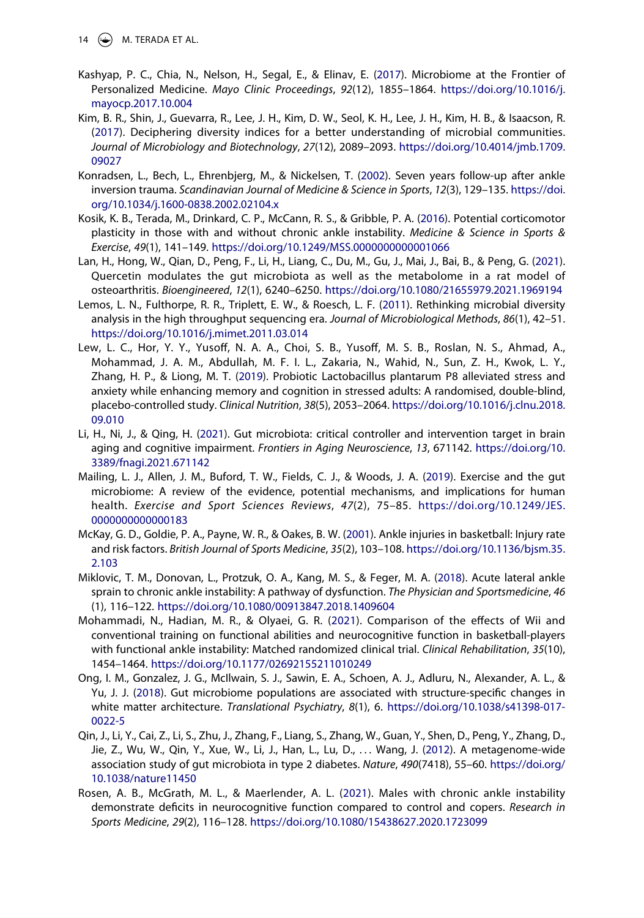14  $\bigodot$  M. TERADA ET AL.

- <span id="page-14-10"></span>Kashyap, P. C., Chia, N., Nelson, H., Segal, E., & Elinav, E. ([2017](#page-9-5)). Microbiome at the Frontier of Personalized Medicine. *Mayo Clinic Proceedings*, *92*(12), 1855–1864. [https://doi.org/10.1016/j.](https://doi.org/10.1016/j.mayocp.2017.10.004) [mayocp.2017.10.004](https://doi.org/10.1016/j.mayocp.2017.10.004)
- <span id="page-14-5"></span>Kim, B. R., Shin, J., Guevarra, R., Lee, J. H., Kim, D. W., Seol, K. H., Lee, J. H., Kim, H. B., & Isaacson, R. ([2017](#page-5-6)). Deciphering diversity indices for a better understanding of microbial communities. *Journal of Microbiology and Biotechnology*, *27*(12), 2089–2093. [https://doi.org/10.4014/jmb.1709.](https://doi.org/10.4014/jmb.1709.09027) [09027](https://doi.org/10.4014/jmb.1709.09027)
- <span id="page-14-0"></span>Konradsen, L., Bech, L., Ehrenbjerg, M., & Nickelsen, T. ([2002](#page-1-4)). Seven years follow-up after ankle inversion trauma. *Scandinavian Journal of Medicine & Science in Sports*, *12*(3), 129–135. [https://doi.](https://doi.org/10.1034/j.1600-0838.2002.02104.x) [org/10.1034/j.1600-0838.2002.02104.x](https://doi.org/10.1034/j.1600-0838.2002.02104.x)
- <span id="page-14-1"></span>Kosik, K. B., Terada, M., Drinkard, C. P., McCann, R. S., & Gribble, P. A. [\(2016\)](#page-2-5). Potential corticomotor plasticity in those with and without chronic ankle instability. *Medicine & Science in Sports & Exercise*, *49*(1), 141–149. <https://doi.org/10.1249/MSS.0000000000001066>
- <span id="page-14-9"></span>Lan, H., Hong, W., Qian, D., Peng, F., Li, H., Liang, C., Du, M., Gu, J., Mai, J., Bai, B., & Peng, G. [\(2021\)](#page-9-0). Quercetin modulates the gut microbiota as well as the metabolome in a rat model of osteoarthritis. *Bioengineered*, *12*(1), 6240–6250. <https://doi.org/10.1080/21655979.2021.1969194>
- <span id="page-14-6"></span>Lemos, L. N., Fulthorpe, R. R., Triplett, E. W., & Roesch, L. F. [\(2011\)](#page-5-7). Rethinking microbial diversity analysis in the high throughput sequencing era. *Journal of Microbiological Methods*, *86*(1), 42–51. <https://doi.org/10.1016/j.mimet.2011.03.014>
- <span id="page-14-12"></span>Lew, L. C., Hor, Y. Y., Yusoff, N. A. A., Choi, S. B., Yusoff, M. S. B., Roslan, N. S., Ahmad, A., Mohammad, J. A. M., Abdullah, M. F. I. L., Zakaria, N., Wahid, N., Sun, Z. H., Kwok, L. Y., Zhang, H. P., & Liong, M. T. ([2019](#page-10-1)). Probiotic Lactobacillus plantarum P8 alleviated stress and anxiety while enhancing memory and cognition in stressed adults: A randomised, double-blind, placebo-controlled study. *Clinical Nutrition*, *38*(5), 2053–2064. [https://doi.org/10.1016/j.clnu.2018.](https://doi.org/10.1016/j.clnu.2018.09.010) [09.010](https://doi.org/10.1016/j.clnu.2018.09.010)
- <span id="page-14-13"></span>Li, H., Ni, J., & Qing, H. [\(2021\)](#page-10-4). Gut microbiota: critical controller and intervention target in brain aging and cognitive impairment. *Frontiers in Aging Neuroscience*, *13*, 671142. [https://doi.org/10.](https://doi.org/10.3389/fnagi.2021.671142) [3389/fnagi.2021.671142](https://doi.org/10.3389/fnagi.2021.671142)
- <span id="page-14-2"></span>Mailing, L. J., Allen, J. M., Buford, T. W., Fields, C. J., & Woods, J. A. [\(2019\)](#page-2-6). Exercise and the gut microbiome: A review of the evidence, potential mechanisms, and implications for human health. *Exercise and Sport Sciences Reviews*, *47*(2), 75–85. [https://doi.org/10.1249/JES.](https://doi.org/10.1249/JES.0000000000000183) [0000000000000183](https://doi.org/10.1249/JES.0000000000000183)
- <span id="page-14-4"></span>McKay, G. D., Goldie, P. A., Payne, W. R., & Oakes, B. W. [\(2001\)](#page-3-1). Ankle injuries in basketball: Injury rate and risk factors. *British Journal of Sports Medicine*, *35*(2), 103–108. [https://doi.org/10.1136/bjsm.35.](https://doi.org/10.1136/bjsm.35.2.103) [2.103](https://doi.org/10.1136/bjsm.35.2.103)
- <span id="page-14-3"></span>Miklovic, T. M., Donovan, L., Protzuk, O. A., Kang, M. S., & Feger, M. A. [\(2018\)](#page-3-2). Acute lateral ankle sprain to chronic ankle instability: A pathway of dysfunction. *The Physician and Sportsmedicine*, *46*  (1), 116–122. <https://doi.org/10.1080/00913847.2018.1409604>
- <span id="page-14-14"></span>Mohammadi, N., Hadian, M. R., & Olyaei, G. R. ([2021\)](#page-10-0). Comparison of the effects of Wii and conventional training on functional abilities and neurocognitive function in basketball-players with functional ankle instability: Matched randomized clinical trial. *Clinical Rehabilitation*, *35*(10), 1454–1464. <https://doi.org/10.1177/02692155211010249>
- <span id="page-14-8"></span>Ong, I. M., Gonzalez, J. G., McIlwain, S. J., Sawin, E. A., Schoen, A. J., Adluru, N., Alexander, A. L., & Yu, J. J. ([2018](#page-8-2)). Gut microbiome populations are associated with structure-specific changes in white matter architecture. *Translational Psychiatry*, *8*(1), 6. [https://doi.org/10.1038/s41398-017-](https://doi.org/10.1038/s41398-017-0022-5) [0022-5](https://doi.org/10.1038/s41398-017-0022-5)
- <span id="page-14-11"></span>Qin, J., Li, Y., Cai, Z., Li, S., Zhu, J., Zhang, F., Liang, S., Zhang, W., Guan, Y., Shen, D., Peng, Y., Zhang, D., Jie, Z., Wu, W., Qin, Y., Xue, W., Li, J., Han, L., Lu, D., . . . Wang, J. [\(2012\)](#page-10-2). A metagenome-wide association study of gut microbiota in type 2 diabetes. *Nature*, *490*(7418), 55–60. [https://doi.org/](https://doi.org/10.1038/nature11450) [10.1038/nature11450](https://doi.org/10.1038/nature11450)
- <span id="page-14-7"></span>Rosen, A. B., McGrath, M. L., & Maerlender, A. L. ([2021\)](#page-8-3). Males with chronic ankle instability demonstrate deficits in neurocognitive function compared to control and copers. *Research in Sports Medicine*, *29*(2), 116–128. <https://doi.org/10.1080/15438627.2020.1723099>